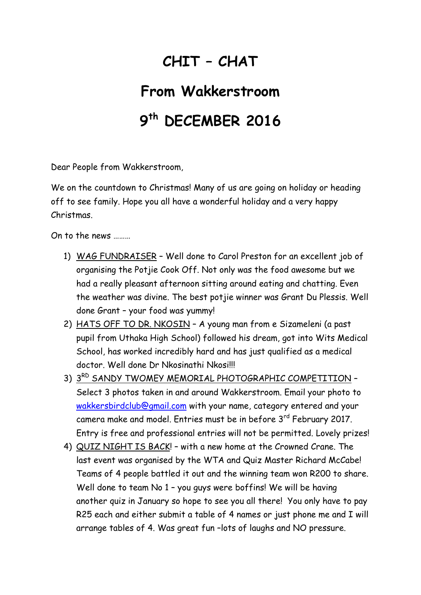## **CHIT – CHAT**

## **From Wakkerstroom 9 th DECEMBER 2016**

Dear People from Wakkerstroom,

We on the countdown to Christmas! Many of us are going on holiday or heading off to see family. Hope you all have a wonderful holiday and a very happy Christmas.

On to the news ………

- 1) WAG FUNDRAISER Well done to Carol Preston for an excellent job of organising the Potjie Cook Off. Not only was the food awesome but we had a really pleasant afternoon sitting around eating and chatting. Even the weather was divine. The best potjie winner was Grant Du Plessis. Well done Grant – your food was yummy!
- 2) HATS OFF TO DR. NKOSIN A young man from e Sizameleni (a past pupil from Uthaka High School) followed his dream, got into Wits Medical School, has worked incredibly hard and has just qualified as a medical doctor. Well done Dr Nkosinathi Nkosi!!!
- 3) 3RD SANDY TWOMEY MEMORIAL PHOTOGRAPHIC COMPETITION -Select 3 photos taken in and around Wakkerstroom. Email your photo to [wakkersbirdclub@gmail.com](mailto:wakkersbirdclub@gmail.com) with your name, category entered and your camera make and model. Entries must be in before 3rd February 2017. Entry is free and professional entries will not be permitted. Lovely prizes!
- 4) QUIZ NIGHT IS BACK! with a new home at the Crowned Crane. The last event was organised by the WTA and Quiz Master Richard McCabe! Teams of 4 people battled it out and the winning team won R200 to share. Well done to team No 1 - you guys were boffins! We will be having another quiz in January so hope to see you all there! You only have to pay R25 each and either submit a table of 4 names or just phone me and I will arrange tables of 4. Was great fun –lots of laughs and NO pressure.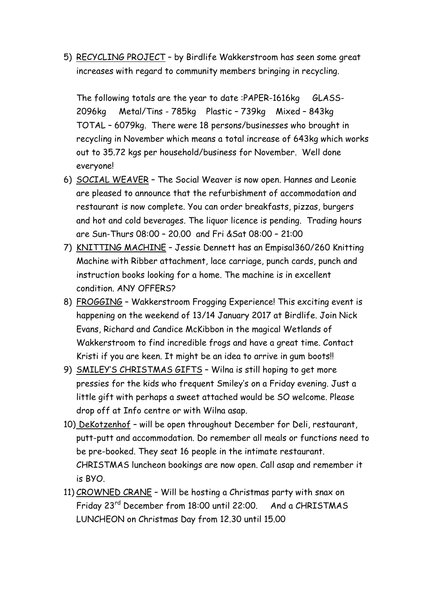5) RECYCLING PROJECT – by Birdlife Wakkerstroom has seen some great increases with regard to community members bringing in recycling.

The following totals are the year to date :PAPER-1616kg GLASS-2096kg Metal/Tins - 785kg Plastic – 739kg Mixed – 843kg TOTAL – 6079kg. There were 18 persons/businesses who brought in recycling in November which means a total increase of 643kg which works out to 35.72 kgs per household/business for November. Well done everyone!

- 6) SOCIAL WEAVER The Social Weaver is now open. Hannes and Leonie are pleased to announce that the refurbishment of accommodation and restaurant is now complete. You can order breakfasts, pizzas, burgers and hot and cold beverages. The liquor licence is pending. Trading hours are Sun-Thurs 08:00 – 20.00 and Fri &Sat 08:00 – 21:00
- 7) KNITTING MACHINE Jessie Dennett has an Empisal360/260 Knitting Machine with Ribber attachment, lace carriage, punch cards, punch and instruction books looking for a home. The machine is in excellent condition. ANY OFFERS?
- 8) FROGGING Wakkerstroom Frogging Experience! This exciting event is happening on the weekend of 13/14 January 2017 at Birdlife. Join Nick Evans, Richard and Candice McKibbon in the magical Wetlands of Wakkerstroom to find incredible frogs and have a great time. Contact Kristi if you are keen. It might be an idea to arrive in gum boots!!
- 9) SMILEY'S CHRISTMAS GIFTS Wilna is still hoping to get more pressies for the kids who frequent Smiley's on a Friday evening. Just a little gift with perhaps a sweet attached would be SO welcome. Please drop off at Info centre or with Wilna asap.
- 10) DeKotzenhof will be open throughout December for Deli, restaurant, putt-putt and accommodation. Do remember all meals or functions need to be pre-booked. They seat 16 people in the intimate restaurant. CHRISTMAS luncheon bookings are now open. Call asap and remember it is BYO.
- 11) CROWNED CRANE Will be hosting a Christmas party with snax on Friday 23rd December from 18:00 until 22:00. And a CHRISTMAS LUNCHEON on Christmas Day from 12.30 until 15.00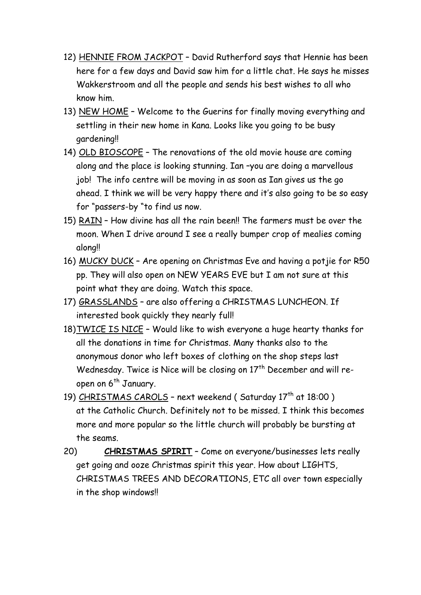- 12) HENNIE FROM JACKPOT David Rutherford says that Hennie has been here for a few days and David saw him for a little chat. He says he misses Wakkerstroom and all the people and sends his best wishes to all who know him.
- 13) NEW HOME Welcome to the Guerins for finally moving everything and settling in their new home in Kana. Looks like you going to be busy gardening!!
- 14) OLD BIOSCOPE The renovations of the old movie house are coming along and the place is looking stunning. Ian –you are doing a marvellous job! The info centre will be moving in as soon as Ian gives us the go ahead. I think we will be very happy there and it's also going to be so easy for "passers-by "to find us now.
- 15) RAIN How divine has all the rain been!! The farmers must be over the moon. When I drive around I see a really bumper crop of mealies coming along!!
- 16) MUCKY DUCK Are opening on Christmas Eve and having a potjie for R50 pp. They will also open on NEW YEARS EVE but I am not sure at this point what they are doing. Watch this space.
- 17) GRASSLANDS are also offering a CHRISTMAS LUNCHEON. If interested book quickly they nearly full!
- 18)TWICE IS NICE Would like to wish everyone a huge hearty thanks for all the donations in time for Christmas. Many thanks also to the anonymous donor who left boxes of clothing on the shop steps last Wednesday. Twice is Nice will be closing on 17<sup>th</sup> December and will reopen on 6<sup>th</sup> January.
- 19) CHRISTMAS CAROLS next weekend (Saturday 17<sup>th</sup> at 18:00) at the Catholic Church. Definitely not to be missed. I think this becomes more and more popular so the little church will probably be bursting at the seams.
- 20) **CHRISTMAS SPIRIT** Come on everyone/businesses lets really get going and ooze Christmas spirit this year. How about LIGHTS, CHRISTMAS TREES AND DECORATIONS, ETC all over town especially in the shop windows!!